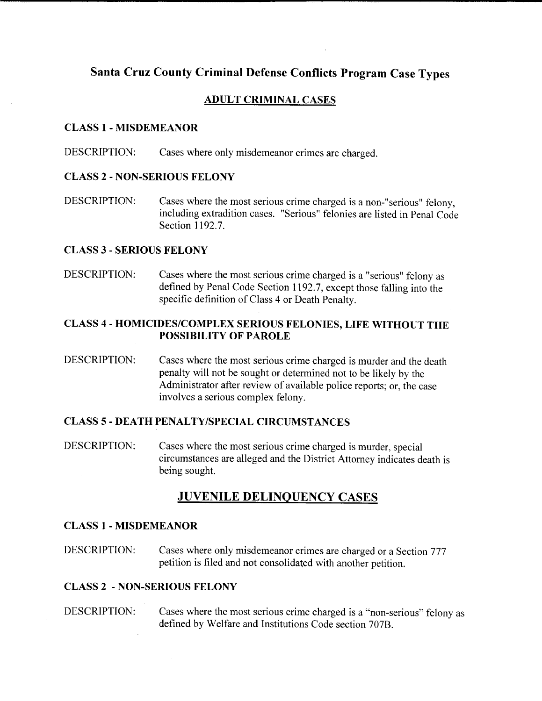# **Santa Cruz County Criminal Defense Conflicts Program Case Types**

### **ADULT CRIMINAL CASES**

#### **CLASS 1- MISDEMEANOR**

DESCRIPTION: Cases where only misdemeanor crimes are charged.

#### **CLASS** 2- **NON-SERIOUS FELONY**

DESCRIPTION: Cases where the most serious crime charged is a non-"serious" felony, including extradition cases. "Serious" felonies are listed in Penal Code Section 1192.7.

#### **CLASS 3-SERIOUS FELONY**

DESCRIPTION: Cases where the most serious crime charged is a "serious" felony as defined by Penal Code Section 1192.7, except those falling into the specific definition of Class 4 or Death Penalty.

### **CLASS** 4- **HOMICIDES/COMPLEX SERIOUS FELONIES, LIFE WITHOUT THE POSSIBILITY OF PAROLE**

DESCRIPTION: Cases where the most serious crime charged is murder and the death penalty will not be sought or determined not to be likely by the Administrator after review of available police reports; or, the case involves a serious complex felony.

#### **CLASS** *5-* **DEATH PENALTY/SPECIAL CIRCUMSTANCES**

DESCRIPTION: Cases where the most serious crime charged is murder, special circumstances are alleged and the District Attorney indicates death is being sought.

## **JUVENILE DELINQUENCY CASES**

#### **CLASS!** - **MISDEMEANOR**

DESCRIPTION: Cases where only misdemeanor crimes are charged or a Section 777 petition is filed and not consolidated with another petition.

#### **CLASS 2** - **NON-SERIOUS FELONY**

DESCRIPTION: Cases where the most serious crime charged is a "non-serious" felony as defined by Welfare and Institutions Code section 707B.